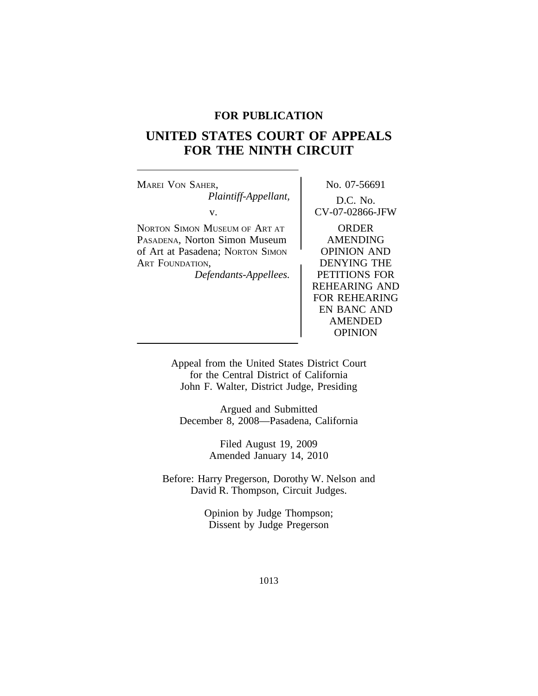# **FOR PUBLICATION**

# **UNITED STATES COURT OF APPEALS FOR THE NINTH CIRCUIT**

MAREI VON SAHER, NO. 07-56691 *Plaintiff-Appellant,* D.C. No. v. CV-07-02866-JFW NORTON SIMON MUSEUM OF ART AT **ORDER** PASADENA, Norton Simon Museum | AMENDING of Art at Pasadena; Norton Simon (DPINION AND ART FOUNDATION, *Defendants-Appellees.* PETITIONS FOR REHEARING AND FOR REHEARING EN BANC AND AMENDED

> Appeal from the United States District Court for the Central District of California John F. Walter, District Judge, Presiding

OPINION

Argued and Submitted December 8, 2008—Pasadena, California

> Filed August 19, 2009 Amended January 14, 2010

Before: Harry Pregerson, Dorothy W. Nelson and David R. Thompson, Circuit Judges.

> Opinion by Judge Thompson; Dissent by Judge Pregerson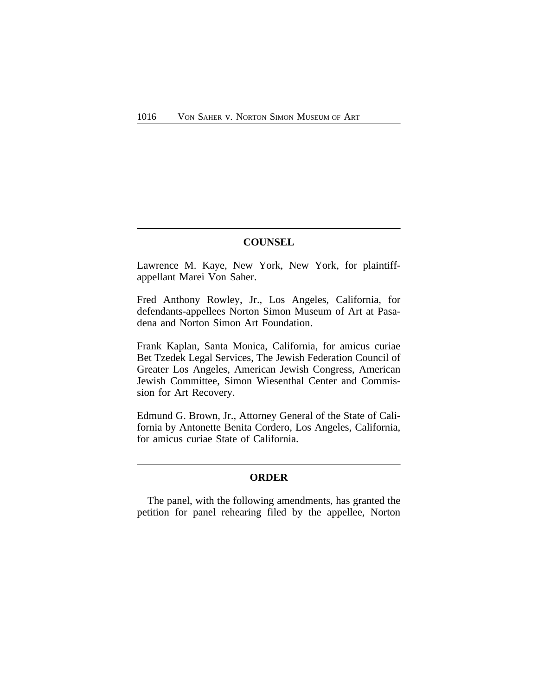# **COUNSEL**

Lawrence M. Kaye, New York, New York, for plaintiffappellant Marei Von Saher.

Fred Anthony Rowley, Jr., Los Angeles, California, for defendants-appellees Norton Simon Museum of Art at Pasadena and Norton Simon Art Foundation.

Frank Kaplan, Santa Monica, California, for amicus curiae Bet Tzedek Legal Services, The Jewish Federation Council of Greater Los Angeles, American Jewish Congress, American Jewish Committee, Simon Wiesenthal Center and Commission for Art Recovery.

Edmund G. Brown, Jr., Attorney General of the State of California by Antonette Benita Cordero, Los Angeles, California, for amicus curiae State of California.

# **ORDER**

The panel, with the following amendments, has granted the petition for panel rehearing filed by the appellee, Norton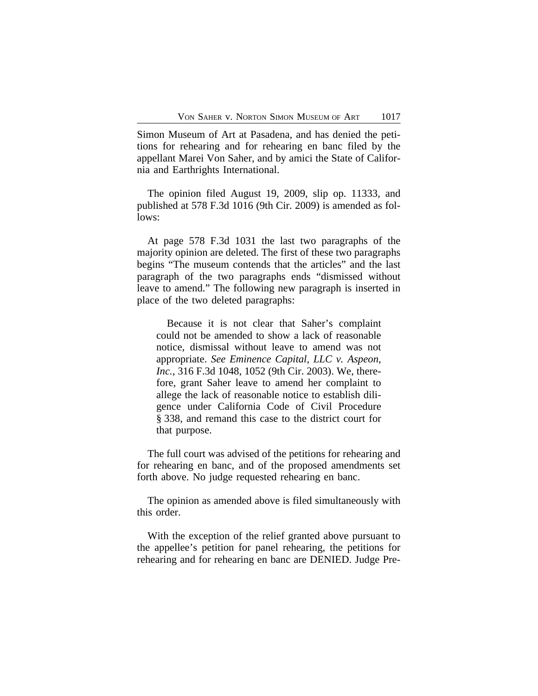Simon Museum of Art at Pasadena, and has denied the petitions for rehearing and for rehearing en banc filed by the appellant Marei Von Saher, and by amici the State of California and Earthrights International.

The opinion filed August 19, 2009, slip op. 11333, and published at 578 F.3d 1016 (9th Cir. 2009) is amended as follows:

At page 578 F.3d 1031 the last two paragraphs of the majority opinion are deleted. The first of these two paragraphs begins "The museum contends that the articles" and the last paragraph of the two paragraphs ends "dismissed without leave to amend." The following new paragraph is inserted in place of the two deleted paragraphs:

Because it is not clear that Saher's complaint could not be amended to show a lack of reasonable notice, dismissal without leave to amend was not appropriate. *See Eminence Capital, LLC v. Aspeon, Inc.*, 316 F.3d 1048, 1052 (9th Cir. 2003). We, therefore, grant Saher leave to amend her complaint to allege the lack of reasonable notice to establish diligence under California Code of Civil Procedure § 338, and remand this case to the district court for that purpose.

The full court was advised of the petitions for rehearing and for rehearing en banc, and of the proposed amendments set forth above. No judge requested rehearing en banc.

The opinion as amended above is filed simultaneously with this order.

With the exception of the relief granted above pursuant to the appellee's petition for panel rehearing, the petitions for rehearing and for rehearing en banc are DENIED. Judge Pre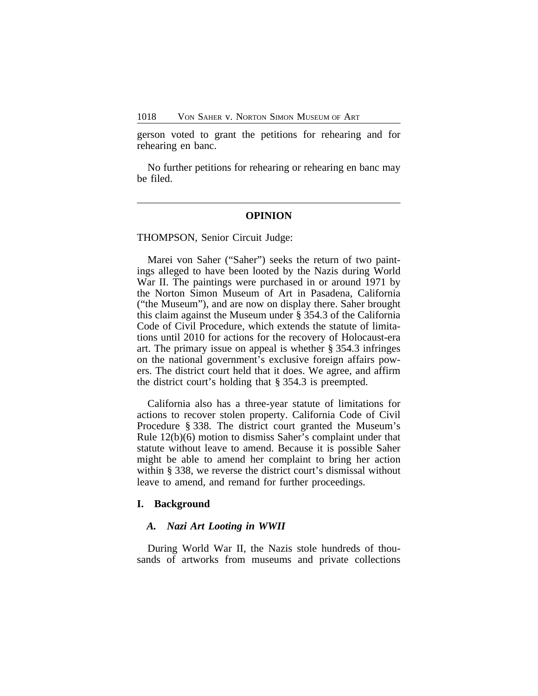gerson voted to grant the petitions for rehearing and for rehearing en banc.

No further petitions for rehearing or rehearing en banc may be filed.

#### **OPINION**

THOMPSON, Senior Circuit Judge:

Marei von Saher ("Saher") seeks the return of two paintings alleged to have been looted by the Nazis during World War II. The paintings were purchased in or around 1971 by the Norton Simon Museum of Art in Pasadena, California ("the Museum"), and are now on display there. Saher brought this claim against the Museum under § 354.3 of the California Code of Civil Procedure, which extends the statute of limitations until 2010 for actions for the recovery of Holocaust-era art. The primary issue on appeal is whether § 354.3 infringes on the national government's exclusive foreign affairs powers. The district court held that it does. We agree, and affirm the district court's holding that § 354.3 is preempted.

California also has a three-year statute of limitations for actions to recover stolen property. California Code of Civil Procedure § 338. The district court granted the Museum's Rule 12(b)(6) motion to dismiss Saher's complaint under that statute without leave to amend. Because it is possible Saher might be able to amend her complaint to bring her action within § 338, we reverse the district court's dismissal without leave to amend, and remand for further proceedings.

#### **I. Background**

### *A. Nazi Art Looting in WWII*

During World War II, the Nazis stole hundreds of thousands of artworks from museums and private collections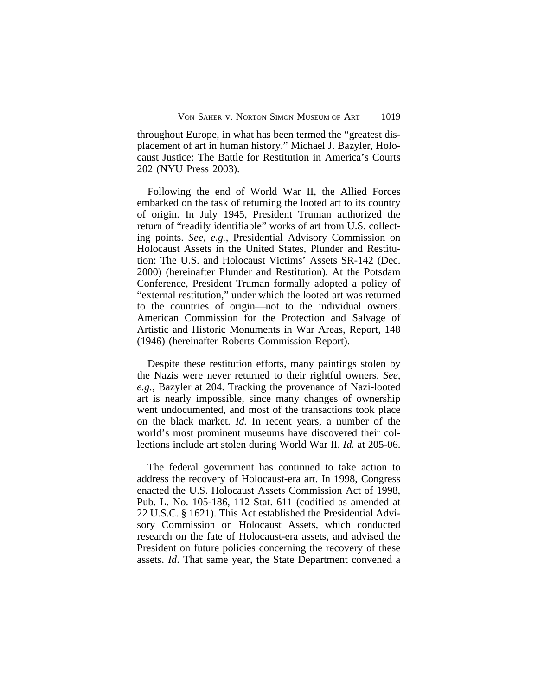throughout Europe, in what has been termed the "greatest displacement of art in human history." Michael J. Bazyler, Holocaust Justice: The Battle for Restitution in America's Courts 202 (NYU Press 2003).

Following the end of World War II, the Allied Forces embarked on the task of returning the looted art to its country of origin. In July 1945, President Truman authorized the return of "readily identifiable" works of art from U.S. collecting points. *See, e.g.*, Presidential Advisory Commission on Holocaust Assets in the United States, Plunder and Restitution: The U.S. and Holocaust Victims' Assets SR-142 (Dec. 2000) (hereinafter Plunder and Restitution). At the Potsdam Conference, President Truman formally adopted a policy of "external restitution," under which the looted art was returned to the countries of origin—not to the individual owners. American Commission for the Protection and Salvage of Artistic and Historic Monuments in War Areas, Report, 148 (1946) (hereinafter Roberts Commission Report).

Despite these restitution efforts, many paintings stolen by the Nazis were never returned to their rightful owners. *See, e.g.*, Bazyler at 204. Tracking the provenance of Nazi-looted art is nearly impossible, since many changes of ownership went undocumented, and most of the transactions took place on the black market. *Id.* In recent years, a number of the world's most prominent museums have discovered their collections include art stolen during World War II. *Id.* at 205-06.

The federal government has continued to take action to address the recovery of Holocaust-era art. In 1998, Congress enacted the U.S. Holocaust Assets Commission Act of 1998, Pub. L. No. 105-186, 112 Stat. 611 (codified as amended at 22 U.S.C. § 1621). This Act established the Presidential Advisory Commission on Holocaust Assets, which conducted research on the fate of Holocaust-era assets, and advised the President on future policies concerning the recovery of these assets. *Id*. That same year, the State Department convened a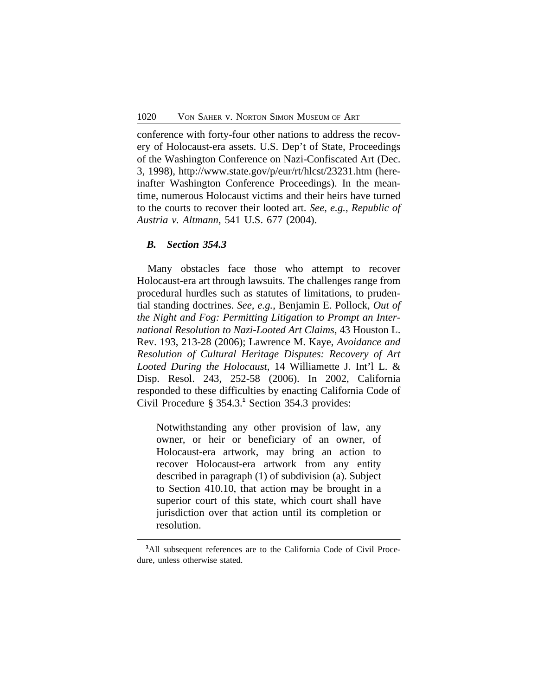conference with forty-four other nations to address the recovery of Holocaust-era assets. U.S. Dep't of State, Proceedings of the Washington Conference on Nazi-Confiscated Art (Dec. 3, 1998), http://www.state.gov/p/eur/rt/hlcst/23231.htm (hereinafter Washington Conference Proceedings). In the meantime, numerous Holocaust victims and their heirs have turned to the courts to recover their looted art. *See, e.g.*, *Republic of Austria v. Altmann*, 541 U.S. 677 (2004).

### *B. Section 354.3*

Many obstacles face those who attempt to recover Holocaust-era art through lawsuits. The challenges range from procedural hurdles such as statutes of limitations, to prudential standing doctrines. *See, e.g.*, Benjamin E. Pollock, *Out of the Night and Fog: Permitting Litigation to Prompt an International Resolution to Nazi-Looted Art Claims*, 43 Houston L. Rev. 193, 213-28 (2006); Lawrence M. Kaye, *Avoidance and Resolution of Cultural Heritage Disputes: Recovery of Art Looted During the Holocaust*, 14 Williamette J. Int'l L. & Disp. Resol. 243, 252-58 (2006). In 2002, California responded to these difficulties by enacting California Code of Civil Procedure § 354.3.<sup>1</sup> Section 354.3 provides:

Notwithstanding any other provision of law, any owner, or heir or beneficiary of an owner, of Holocaust-era artwork, may bring an action to recover Holocaust-era artwork from any entity described in paragraph (1) of subdivision (a). Subject to Section 410.10, that action may be brought in a superior court of this state, which court shall have jurisdiction over that action until its completion or resolution.

**<sup>1</sup>**All subsequent references are to the California Code of Civil Procedure, unless otherwise stated.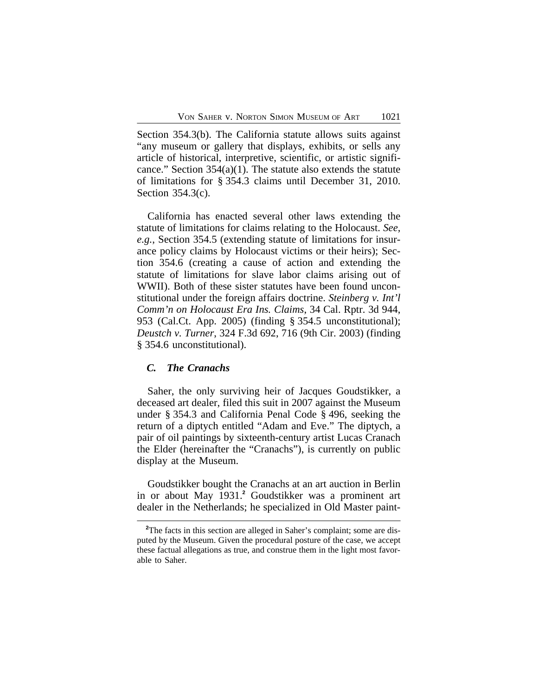Section 354.3(b). The California statute allows suits against "any museum or gallery that displays, exhibits, or sells any article of historical, interpretive, scientific, or artistic significance." Section 354(a)(1). The statute also extends the statute of limitations for § 354.3 claims until December 31, 2010. Section 354.3(c).

California has enacted several other laws extending the statute of limitations for claims relating to the Holocaust. *See, e.g.*, Section 354.5 (extending statute of limitations for insurance policy claims by Holocaust victims or their heirs); Section 354.6 (creating a cause of action and extending the statute of limitations for slave labor claims arising out of WWII). Both of these sister statutes have been found unconstitutional under the foreign affairs doctrine. *Steinberg v. Int'l Comm'n on Holocaust Era Ins. Claims*, 34 Cal. Rptr. 3d 944, 953 (Cal.Ct. App. 2005) (finding § 354.5 unconstitutional); *Deustch v. Turner*, 324 F.3d 692, 716 (9th Cir. 2003) (finding § 354.6 unconstitutional).

### *C. The Cranachs*

Saher, the only surviving heir of Jacques Goudstikker, a deceased art dealer, filed this suit in 2007 against the Museum under § 354.3 and California Penal Code § 496, seeking the return of a diptych entitled "Adam and Eve." The diptych, a pair of oil paintings by sixteenth-century artist Lucas Cranach the Elder (hereinafter the "Cranachs"), is currently on public display at the Museum.

Goudstikker bought the Cranachs at an art auction in Berlin in or about May 1931.**<sup>2</sup>** Goudstikker was a prominent art dealer in the Netherlands; he specialized in Old Master paint-

<sup>&</sup>lt;sup>2</sup>The facts in this section are alleged in Saher's complaint; some are disputed by the Museum. Given the procedural posture of the case, we accept these factual allegations as true, and construe them in the light most favorable to Saher.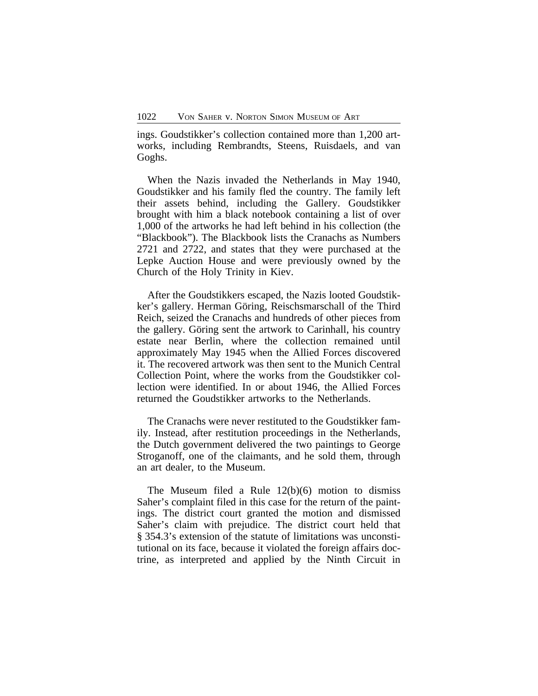ings. Goudstikker's collection contained more than 1,200 artworks, including Rembrandts, Steens, Ruisdaels, and van Goghs.

When the Nazis invaded the Netherlands in May 1940, Goudstikker and his family fled the country. The family left their assets behind, including the Gallery. Goudstikker brought with him a black notebook containing a list of over 1,000 of the artworks he had left behind in his collection (the "Blackbook"). The Blackbook lists the Cranachs as Numbers 2721 and 2722, and states that they were purchased at the Lepke Auction House and were previously owned by the Church of the Holy Trinity in Kiev.

After the Goudstikkers escaped, the Nazis looted Goudstikker's gallery. Herman Göring, Reischsmarschall of the Third Reich, seized the Cranachs and hundreds of other pieces from the gallery. Göring sent the artwork to Carinhall, his country estate near Berlin, where the collection remained until approximately May 1945 when the Allied Forces discovered it. The recovered artwork was then sent to the Munich Central Collection Point, where the works from the Goudstikker collection were identified. In or about 1946, the Allied Forces returned the Goudstikker artworks to the Netherlands.

The Cranachs were never restituted to the Goudstikker family. Instead, after restitution proceedings in the Netherlands, the Dutch government delivered the two paintings to George Stroganoff, one of the claimants, and he sold them, through an art dealer, to the Museum.

The Museum filed a Rule 12(b)(6) motion to dismiss Saher's complaint filed in this case for the return of the paintings. The district court granted the motion and dismissed Saher's claim with prejudice. The district court held that § 354.3's extension of the statute of limitations was unconstitutional on its face, because it violated the foreign affairs doctrine, as interpreted and applied by the Ninth Circuit in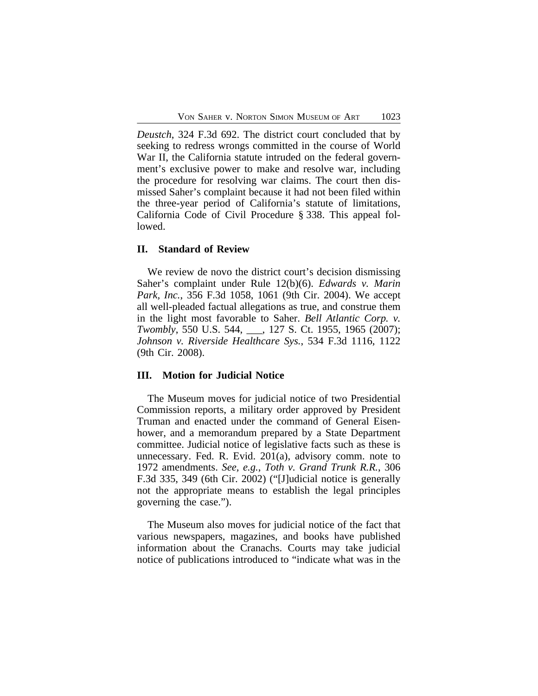*Deustch*, 324 F.3d 692. The district court concluded that by seeking to redress wrongs committed in the course of World War II, the California statute intruded on the federal government's exclusive power to make and resolve war, including the procedure for resolving war claims. The court then dismissed Saher's complaint because it had not been filed within the three-year period of California's statute of limitations, California Code of Civil Procedure § 338. This appeal followed.

### **II. Standard of Review**

We review de novo the district court's decision dismissing Saher's complaint under Rule 12(b)(6). *Edwards v. Marin Park, Inc.*, 356 F.3d 1058, 1061 (9th Cir. 2004). We accept all well-pleaded factual allegations as true, and construe them in the light most favorable to Saher. *Bell Atlantic Corp. v. Twombly*, 550 U.S. 544, \_\_\_, 127 S. Ct. 1955, 1965 (2007); *Johnson v. Riverside Healthcare Sys.*, 534 F.3d 1116, 1122 (9th Cir. 2008).

#### **III. Motion for Judicial Notice**

The Museum moves for judicial notice of two Presidential Commission reports, a military order approved by President Truman and enacted under the command of General Eisenhower, and a memorandum prepared by a State Department committee. Judicial notice of legislative facts such as these is unnecessary. Fed. R. Evid. 201(a), advisory comm. note to 1972 amendments. *See, e.g.*, *Toth v. Grand Trunk R.R.*, 306 F.3d 335, 349 (6th Cir. 2002) ("[J]udicial notice is generally not the appropriate means to establish the legal principles governing the case.").

The Museum also moves for judicial notice of the fact that various newspapers, magazines, and books have published information about the Cranachs. Courts may take judicial notice of publications introduced to "indicate what was in the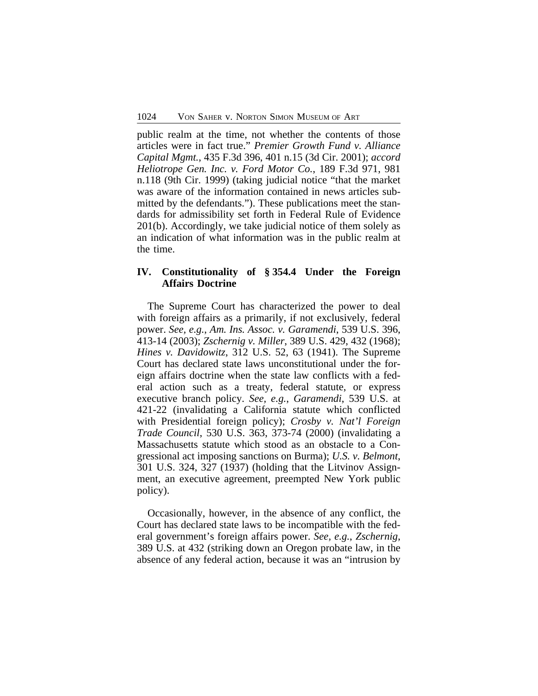public realm at the time, not whether the contents of those articles were in fact true." *Premier Growth Fund v. Alliance Capital Mgmt.*, 435 F.3d 396, 401 n.15 (3d Cir. 2001); *accord Heliotrope Gen. Inc. v. Ford Motor Co.*, 189 F.3d 971, 981 n.118 (9th Cir. 1999) (taking judicial notice "that the market was aware of the information contained in news articles submitted by the defendants."). These publications meet the standards for admissibility set forth in Federal Rule of Evidence 201(b). Accordingly, we take judicial notice of them solely as an indication of what information was in the public realm at the time.

# **IV. Constitutionality of § 354.4 Under the Foreign Affairs Doctrine**

The Supreme Court has characterized the power to deal with foreign affairs as a primarily, if not exclusively, federal power. *See, e.g.*, *Am. Ins. Assoc. v. Garamendi*, 539 U.S. 396, 413-14 (2003); *Zschernig v. Miller*, 389 U.S. 429, 432 (1968); *Hines v. Davidowitz*, 312 U.S. 52, 63 (1941). The Supreme Court has declared state laws unconstitutional under the foreign affairs doctrine when the state law conflicts with a federal action such as a treaty, federal statute, or express executive branch policy. *See, e.g.*, *Garamendi*, 539 U.S. at 421-22 (invalidating a California statute which conflicted with Presidential foreign policy); *Crosby v. Nat'l Foreign Trade Council*, 530 U.S. 363, 373-74 (2000) (invalidating a Massachusetts statute which stood as an obstacle to a Congressional act imposing sanctions on Burma); *U.S. v. Belmont*, 301 U.S. 324, 327 (1937) (holding that the Litvinov Assignment, an executive agreement, preempted New York public policy).

Occasionally, however, in the absence of any conflict, the Court has declared state laws to be incompatible with the federal government's foreign affairs power. *See, e.g.*, *Zschernig*, 389 U.S. at 432 (striking down an Oregon probate law, in the absence of any federal action, because it was an "intrusion by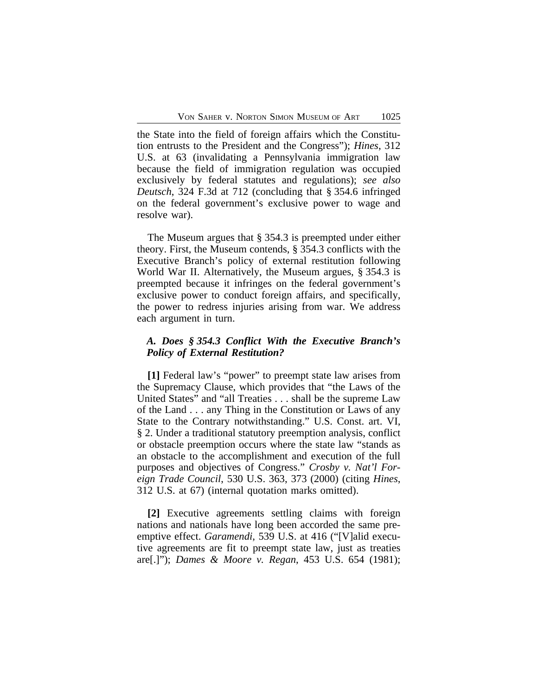the State into the field of foreign affairs which the Constitution entrusts to the President and the Congress"); *Hines*, 312 U.S. at 63 (invalidating a Pennsylvania immigration law because the field of immigration regulation was occupied exclusively by federal statutes and regulations); *see also Deutsch*, 324 F.3d at 712 (concluding that § 354.6 infringed on the federal government's exclusive power to wage and resolve war).

The Museum argues that § 354.3 is preempted under either theory. First, the Museum contends, § 354.3 conflicts with the Executive Branch's policy of external restitution following World War II. Alternatively, the Museum argues, § 354.3 is preempted because it infringes on the federal government's exclusive power to conduct foreign affairs, and specifically, the power to redress injuries arising from war. We address each argument in turn.

### *A. Does § 354.3 Conflict With the Executive Branch's Policy of External Restitution?*

**[1]** Federal law's "power" to preempt state law arises from the Supremacy Clause, which provides that "the Laws of the United States" and "all Treaties . . . shall be the supreme Law of the Land . . . any Thing in the Constitution or Laws of any State to the Contrary notwithstanding." U.S. Const. art. VI, § 2. Under a traditional statutory preemption analysis, conflict or obstacle preemption occurs where the state law "stands as an obstacle to the accomplishment and execution of the full purposes and objectives of Congress." *Crosby v. Nat'l Foreign Trade Council*, 530 U.S. 363, 373 (2000) (citing *Hines*, 312 U.S. at 67) (internal quotation marks omitted).

**[2]** Executive agreements settling claims with foreign nations and nationals have long been accorded the same preemptive effect. *Garamendi*, 539 U.S. at 416 ("[V]alid executive agreements are fit to preempt state law, just as treaties are[.]"); *Dames & Moore v. Regan*, 453 U.S. 654 (1981);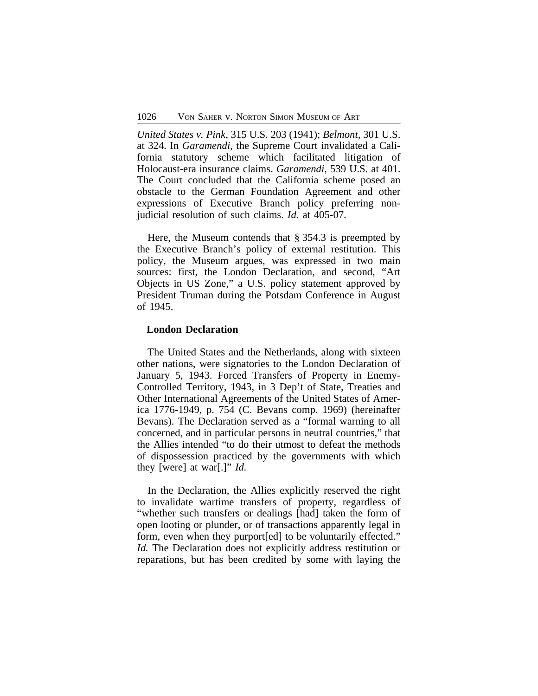*United States v. Pink*, 315 U.S. 203 (1941); *Belmont*, 301 U.S. at 324. In *Garamendi*, the Supreme Court invalidated a California statutory scheme which facilitated litigation of Holocaust-era insurance claims. *Garamendi*, 539 U.S. at 401. The Court concluded that the California scheme posed an obstacle to the German Foundation Agreement and other expressions of Executive Branch policy preferring nonjudicial resolution of such claims. *Id.* at 405-07.

Here, the Museum contends that § 354.3 is preempted by the Executive Branch's policy of external restitution. This policy, the Museum argues, was expressed in two main sources: first, the London Declaration, and second, "Art Objects in US Zone," a U.S. policy statement approved by President Truman during the Potsdam Conference in August of 1945.

#### **London Declaration**

The United States and the Netherlands, along with sixteen other nations, were signatories to the London Declaration of January 5, 1943. Forced Transfers of Property in Enemy-Controlled Territory, 1943, in 3 Dep't of State, Treaties and Other International Agreements of the United States of America 1776-1949, p. 754 (C. Bevans comp. 1969) (hereinafter Bevans). The Declaration served as a "formal warning to all concerned, and in particular persons in neutral countries," that the Allies intended "to do their utmost to defeat the methods of dispossession practiced by the governments with which they [were] at war[.]" *Id.* 

In the Declaration, the Allies explicitly reserved the right to invalidate wartime transfers of property, regardless of "whether such transfers or dealings [had] taken the form of open looting or plunder, or of transactions apparently legal in form, even when they purport[ed] to be voluntarily effected." *Id.* The Declaration does not explicitly address restitution or reparations, but has been credited by some with laying the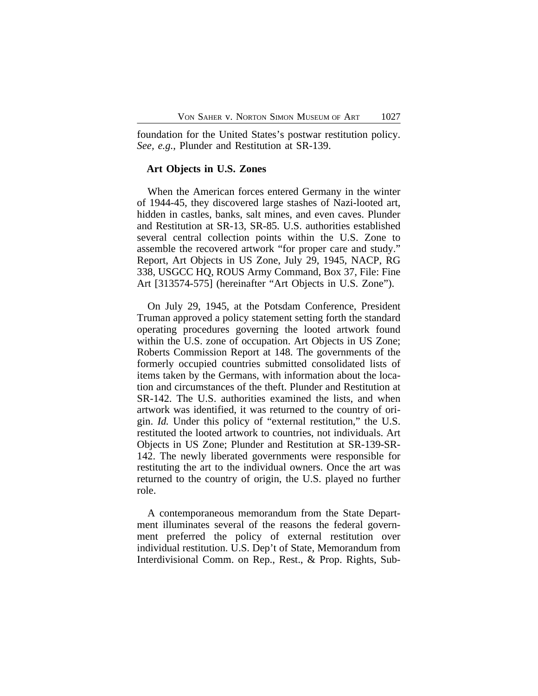foundation for the United States's postwar restitution policy. *See, e.g.*, Plunder and Restitution at SR-139.

#### **Art Objects in U.S. Zones**

When the American forces entered Germany in the winter of 1944-45, they discovered large stashes of Nazi-looted art, hidden in castles, banks, salt mines, and even caves. Plunder and Restitution at SR-13, SR-85. U.S. authorities established several central collection points within the U.S. Zone to assemble the recovered artwork "for proper care and study." Report, Art Objects in US Zone, July 29, 1945, NACP, RG 338, USGCC HQ, ROUS Army Command, Box 37, File: Fine Art [313574-575] (hereinafter "Art Objects in U.S. Zone").

On July 29, 1945, at the Potsdam Conference, President Truman approved a policy statement setting forth the standard operating procedures governing the looted artwork found within the U.S. zone of occupation. Art Objects in US Zone; Roberts Commission Report at 148. The governments of the formerly occupied countries submitted consolidated lists of items taken by the Germans, with information about the location and circumstances of the theft. Plunder and Restitution at SR-142. The U.S. authorities examined the lists, and when artwork was identified, it was returned to the country of origin. *Id.* Under this policy of "external restitution," the U.S. restituted the looted artwork to countries, not individuals. Art Objects in US Zone; Plunder and Restitution at SR-139-SR-142. The newly liberated governments were responsible for restituting the art to the individual owners. Once the art was returned to the country of origin, the U.S. played no further role.

A contemporaneous memorandum from the State Department illuminates several of the reasons the federal government preferred the policy of external restitution over individual restitution. U.S. Dep't of State, Memorandum from Interdivisional Comm. on Rep., Rest., & Prop. Rights, Sub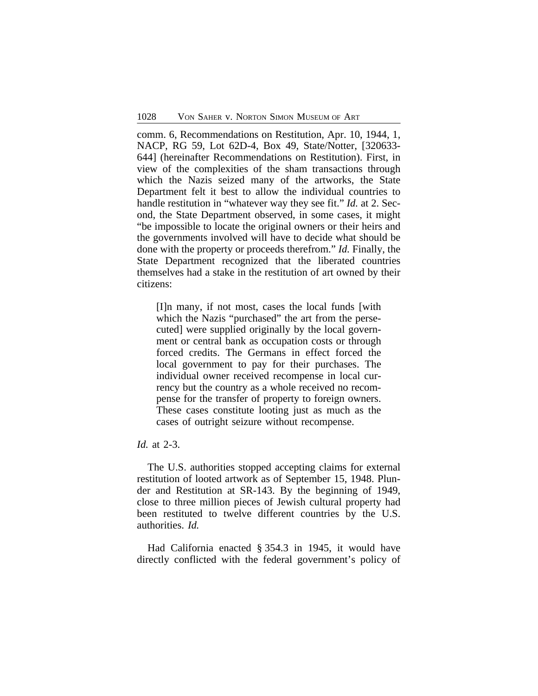comm. 6, Recommendations on Restitution, Apr. 10, 1944, 1, NACP, RG 59, Lot 62D-4, Box 49, State/Notter, [320633- 644] (hereinafter Recommendations on Restitution). First, in view of the complexities of the sham transactions through which the Nazis seized many of the artworks, the State Department felt it best to allow the individual countries to handle restitution in "whatever way they see fit." *Id.* at 2. Second, the State Department observed, in some cases, it might "be impossible to locate the original owners or their heirs and the governments involved will have to decide what should be done with the property or proceeds therefrom." *Id.* Finally, the State Department recognized that the liberated countries themselves had a stake in the restitution of art owned by their citizens:

[I]n many, if not most, cases the local funds [with which the Nazis "purchased" the art from the persecuted] were supplied originally by the local government or central bank as occupation costs or through forced credits. The Germans in effect forced the local government to pay for their purchases. The individual owner received recompense in local currency but the country as a whole received no recompense for the transfer of property to foreign owners. These cases constitute looting just as much as the cases of outright seizure without recompense.

# *Id.* at 2-3.

The U.S. authorities stopped accepting claims for external restitution of looted artwork as of September 15, 1948. Plunder and Restitution at SR-143. By the beginning of 1949, close to three million pieces of Jewish cultural property had been restituted to twelve different countries by the U.S. authorities. *Id.*

Had California enacted § 354.3 in 1945, it would have directly conflicted with the federal government's policy of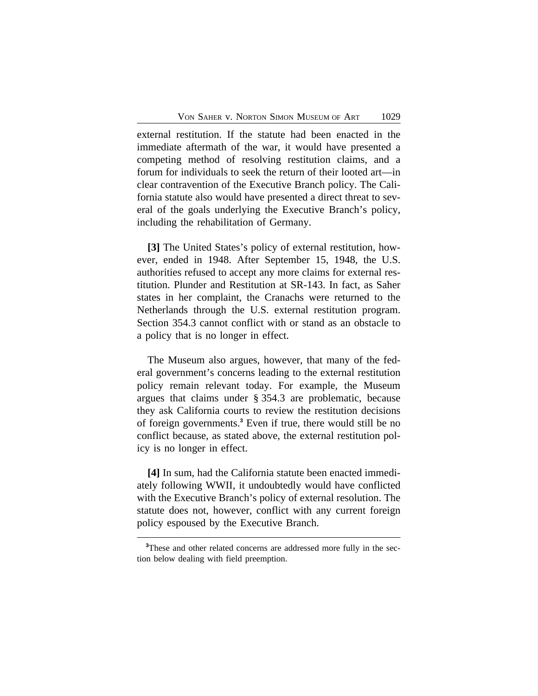external restitution. If the statute had been enacted in the immediate aftermath of the war, it would have presented a competing method of resolving restitution claims, and a forum for individuals to seek the return of their looted art—in clear contravention of the Executive Branch policy. The California statute also would have presented a direct threat to several of the goals underlying the Executive Branch's policy, including the rehabilitation of Germany.

**[3]** The United States's policy of external restitution, however, ended in 1948. After September 15, 1948, the U.S. authorities refused to accept any more claims for external restitution. Plunder and Restitution at SR-143. In fact, as Saher states in her complaint, the Cranachs were returned to the Netherlands through the U.S. external restitution program. Section 354.3 cannot conflict with or stand as an obstacle to a policy that is no longer in effect.

The Museum also argues, however, that many of the federal government's concerns leading to the external restitution policy remain relevant today. For example, the Museum argues that claims under § 354.3 are problematic, because they ask California courts to review the restitution decisions of foreign governments.**<sup>3</sup>** Even if true, there would still be no conflict because, as stated above, the external restitution policy is no longer in effect.

**[4]** In sum, had the California statute been enacted immediately following WWII, it undoubtedly would have conflicted with the Executive Branch's policy of external resolution. The statute does not, however, conflict with any current foreign policy espoused by the Executive Branch.

**<sup>3</sup>**These and other related concerns are addressed more fully in the section below dealing with field preemption.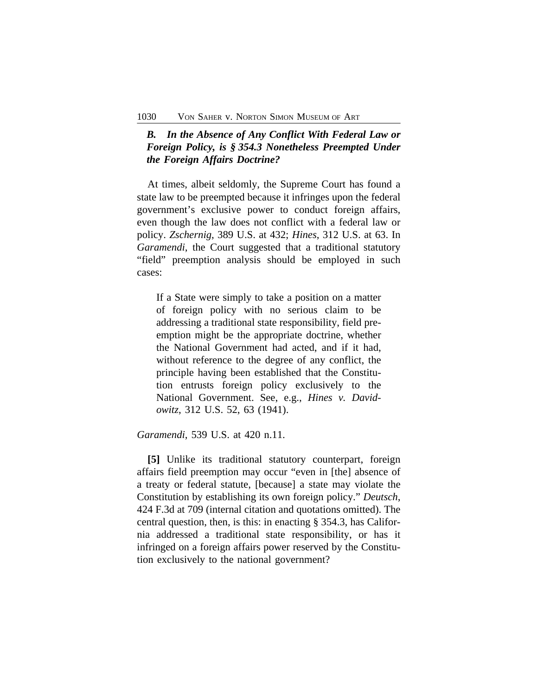# *B. In the Absence of Any Conflict With Federal Law or Foreign Policy, is § 354.3 Nonetheless Preempted Under the Foreign Affairs Doctrine?*

At times, albeit seldomly, the Supreme Court has found a state law to be preempted because it infringes upon the federal government's exclusive power to conduct foreign affairs, even though the law does not conflict with a federal law or policy. *Zschernig*, 389 U.S. at 432; *Hines*, 312 U.S. at 63. In *Garamendi*, the Court suggested that a traditional statutory "field" preemption analysis should be employed in such cases:

If a State were simply to take a position on a matter of foreign policy with no serious claim to be addressing a traditional state responsibility, field preemption might be the appropriate doctrine, whether the National Government had acted, and if it had, without reference to the degree of any conflict, the principle having been established that the Constitution entrusts foreign policy exclusively to the National Government. See, e.g., *Hines v. Davidowitz*, 312 U.S. 52, 63 (1941).

*Garamendi*, 539 U.S. at 420 n.11.

**[5]** Unlike its traditional statutory counterpart, foreign affairs field preemption may occur "even in [the] absence of a treaty or federal statute, [because] a state may violate the Constitution by establishing its own foreign policy." *Deutsch*, 424 F.3d at 709 (internal citation and quotations omitted). The central question, then, is this: in enacting § 354.3, has California addressed a traditional state responsibility, or has it infringed on a foreign affairs power reserved by the Constitution exclusively to the national government?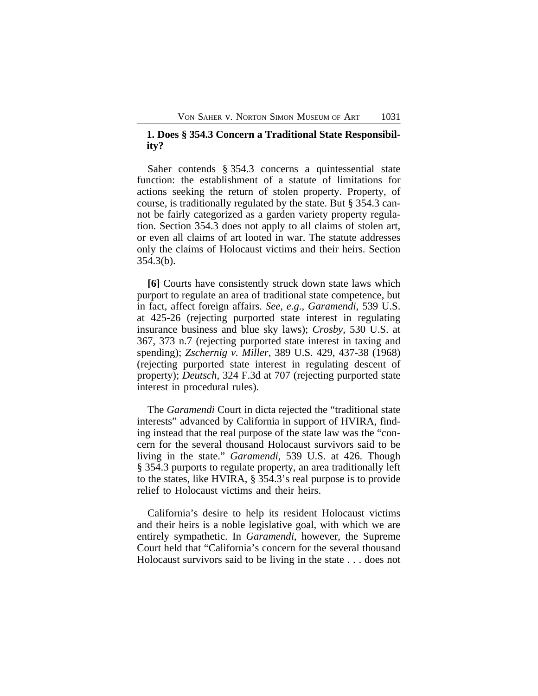### **1. Does § 354.3 Concern a Traditional State Responsibility?**

Saher contends § 354.3 concerns a quintessential state function: the establishment of a statute of limitations for actions seeking the return of stolen property. Property, of course, is traditionally regulated by the state. But § 354.3 cannot be fairly categorized as a garden variety property regulation. Section 354.3 does not apply to all claims of stolen art, or even all claims of art looted in war. The statute addresses only the claims of Holocaust victims and their heirs. Section 354.3(b).

**[6]** Courts have consistently struck down state laws which purport to regulate an area of traditional state competence, but in fact, affect foreign affairs. *See, e.g.*, *Garamendi*, 539 U.S. at 425-26 (rejecting purported state interest in regulating insurance business and blue sky laws); *Crosby*, 530 U.S. at 367, 373 n.7 (rejecting purported state interest in taxing and spending); *Zschernig v. Miller*, 389 U.S. 429, 437-38 (1968) (rejecting purported state interest in regulating descent of property); *Deutsch*, 324 F.3d at 707 (rejecting purported state interest in procedural rules).

The *Garamendi* Court in dicta rejected the "traditional state interests" advanced by California in support of HVIRA, finding instead that the real purpose of the state law was the "concern for the several thousand Holocaust survivors said to be living in the state." *Garamendi*, 539 U.S. at 426. Though § 354.3 purports to regulate property, an area traditionally left to the states, like HVIRA, § 354.3's real purpose is to provide relief to Holocaust victims and their heirs.

California's desire to help its resident Holocaust victims and their heirs is a noble legislative goal, with which we are entirely sympathetic. In *Garamendi*, however, the Supreme Court held that "California's concern for the several thousand Holocaust survivors said to be living in the state . . . does not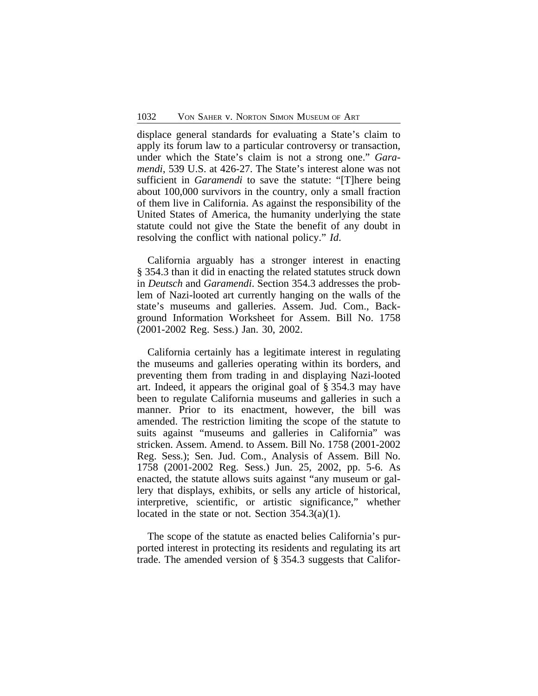displace general standards for evaluating a State's claim to apply its forum law to a particular controversy or transaction, under which the State's claim is not a strong one." *Garamendi*, 539 U.S. at 426-27. The State's interest alone was not sufficient in *Garamendi* to save the statute: "[T]here being about 100,000 survivors in the country, only a small fraction of them live in California. As against the responsibility of the United States of America, the humanity underlying the state statute could not give the State the benefit of any doubt in resolving the conflict with national policy." *Id*.

California arguably has a stronger interest in enacting § 354.3 than it did in enacting the related statutes struck down in *Deutsch* and *Garamendi*. Section 354.3 addresses the problem of Nazi-looted art currently hanging on the walls of the state's museums and galleries. Assem. Jud. Com., Background Information Worksheet for Assem. Bill No. 1758 (2001-2002 Reg. Sess.) Jan. 30, 2002.

California certainly has a legitimate interest in regulating the museums and galleries operating within its borders, and preventing them from trading in and displaying Nazi-looted art. Indeed, it appears the original goal of § 354.3 may have been to regulate California museums and galleries in such a manner. Prior to its enactment, however, the bill was amended. The restriction limiting the scope of the statute to suits against "museums and galleries in California" was stricken. Assem. Amend. to Assem. Bill No. 1758 (2001-2002 Reg. Sess.); Sen. Jud. Com., Analysis of Assem. Bill No. 1758 (2001-2002 Reg. Sess.) Jun. 25, 2002, pp. 5-6. As enacted, the statute allows suits against "any museum or gallery that displays, exhibits, or sells any article of historical, interpretive, scientific, or artistic significance," whether located in the state or not. Section  $354.3(a)(1)$ .

The scope of the statute as enacted belies California's purported interest in protecting its residents and regulating its art trade. The amended version of § 354.3 suggests that Califor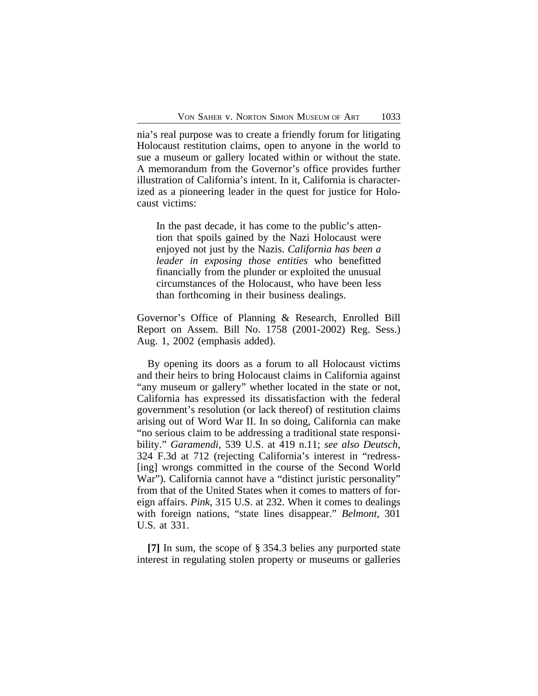nia's real purpose was to create a friendly forum for litigating Holocaust restitution claims, open to anyone in the world to sue a museum or gallery located within or without the state. A memorandum from the Governor's office provides further illustration of California's intent. In it, California is characterized as a pioneering leader in the quest for justice for Holocaust victims:

In the past decade, it has come to the public's attention that spoils gained by the Nazi Holocaust were enjoyed not just by the Nazis. *California has been a leader in exposing those entities* who benefitted financially from the plunder or exploited the unusual circumstances of the Holocaust, who have been less than forthcoming in their business dealings.

Governor's Office of Planning & Research, Enrolled Bill Report on Assem. Bill No. 1758 (2001-2002) Reg. Sess.) Aug. 1, 2002 (emphasis added).

By opening its doors as a forum to all Holocaust victims and their heirs to bring Holocaust claims in California against "any museum or gallery" whether located in the state or not, California has expressed its dissatisfaction with the federal government's resolution (or lack thereof) of restitution claims arising out of Word War II. In so doing, California can make "no serious claim to be addressing a traditional state responsibility." *Garamendi*, 539 U.S. at 419 n.11; *see also Deutsch*, 324 F.3d at 712 (rejecting California's interest in "redress- [ing] wrongs committed in the course of the Second World War"). California cannot have a "distinct juristic personality" from that of the United States when it comes to matters of foreign affairs. *Pink*, 315 U.S. at 232. When it comes to dealings with foreign nations, "state lines disappear." *Belmont*, 301 U.S. at 331.

**[7]** In sum, the scope of § 354.3 belies any purported state interest in regulating stolen property or museums or galleries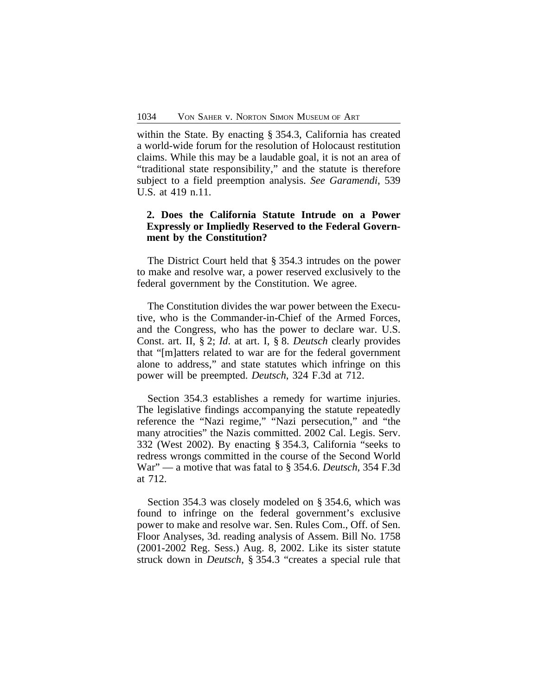within the State. By enacting § 354.3, California has created a world-wide forum for the resolution of Holocaust restitution claims. While this may be a laudable goal, it is not an area of "traditional state responsibility," and the statute is therefore subject to a field preemption analysis. *See Garamendi*, 539 U.S. at 419 n.11.

# **2. Does the California Statute Intrude on a Power Expressly or Impliedly Reserved to the Federal Government by the Constitution?**

The District Court held that § 354.3 intrudes on the power to make and resolve war, a power reserved exclusively to the federal government by the Constitution. We agree.

The Constitution divides the war power between the Executive, who is the Commander-in-Chief of the Armed Forces, and the Congress, who has the power to declare war. U.S. Const. art. II, § 2; *Id*. at art. I, § 8. *Deutsch* clearly provides that "[m]atters related to war are for the federal government alone to address," and state statutes which infringe on this power will be preempted. *Deutsch*, 324 F.3d at 712.

Section 354.3 establishes a remedy for wartime injuries. The legislative findings accompanying the statute repeatedly reference the "Nazi regime," "Nazi persecution," and "the many atrocities" the Nazis committed. 2002 Cal. Legis. Serv. 332 (West 2002). By enacting § 354.3, California "seeks to redress wrongs committed in the course of the Second World War" — a motive that was fatal to § 354.6. *Deutsch*, 354 F.3d at 712.

Section 354.3 was closely modeled on § 354.6, which was found to infringe on the federal government's exclusive power to make and resolve war. Sen. Rules Com., Off. of Sen. Floor Analyses, 3d. reading analysis of Assem. Bill No. 1758 (2001-2002 Reg. Sess.) Aug. 8, 2002. Like its sister statute struck down in *Deutsch*, § 354.3 "creates a special rule that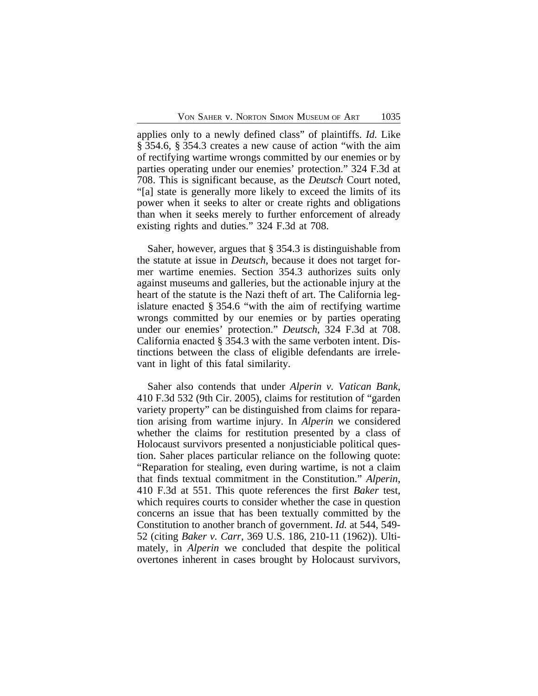applies only to a newly defined class" of plaintiffs. *Id.* Like § 354.6, § 354.3 creates a new cause of action "with the aim of rectifying wartime wrongs committed by our enemies or by parties operating under our enemies' protection." 324 F.3d at 708. This is significant because, as the *Deutsch* Court noted, "[a] state is generally more likely to exceed the limits of its power when it seeks to alter or create rights and obligations than when it seeks merely to further enforcement of already existing rights and duties." 324 F.3d at 708.

Saher, however, argues that § 354.3 is distinguishable from the statute at issue in *Deutsch*, because it does not target former wartime enemies. Section 354.3 authorizes suits only against museums and galleries, but the actionable injury at the heart of the statute is the Nazi theft of art. The California legislature enacted § 354.6 "with the aim of rectifying wartime wrongs committed by our enemies or by parties operating under our enemies' protection." *Deutsch*, 324 F.3d at 708. California enacted § 354.3 with the same verboten intent. Distinctions between the class of eligible defendants are irrelevant in light of this fatal similarity.

Saher also contends that under *Alperin v. Vatican Bank*, 410 F.3d 532 (9th Cir. 2005), claims for restitution of "garden variety property" can be distinguished from claims for reparation arising from wartime injury. In *Alperin* we considered whether the claims for restitution presented by a class of Holocaust survivors presented a nonjusticiable political question. Saher places particular reliance on the following quote: "Reparation for stealing, even during wartime, is not a claim that finds textual commitment in the Constitution." *Alperin*, 410 F.3d at 551. This quote references the first *Baker* test, which requires courts to consider whether the case in question concerns an issue that has been textually committed by the Constitution to another branch of government. *Id.* at 544, 549- 52 (citing *Baker v. Carr*, 369 U.S. 186, 210-11 (1962)). Ultimately, in *Alperin* we concluded that despite the political overtones inherent in cases brought by Holocaust survivors,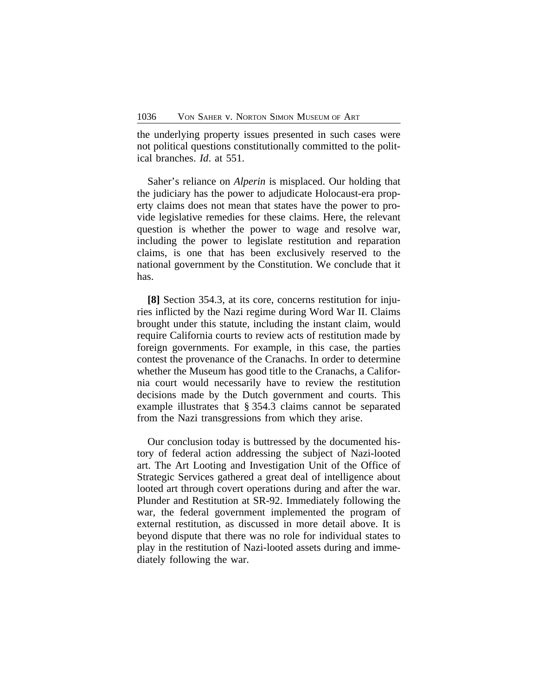the underlying property issues presented in such cases were not political questions constitutionally committed to the political branches. *Id*. at 551.

Saher's reliance on *Alperin* is misplaced. Our holding that the judiciary has the power to adjudicate Holocaust-era property claims does not mean that states have the power to provide legislative remedies for these claims. Here, the relevant question is whether the power to wage and resolve war, including the power to legislate restitution and reparation claims, is one that has been exclusively reserved to the national government by the Constitution. We conclude that it has.

**[8]** Section 354.3, at its core, concerns restitution for injuries inflicted by the Nazi regime during Word War II. Claims brought under this statute, including the instant claim, would require California courts to review acts of restitution made by foreign governments. For example, in this case, the parties contest the provenance of the Cranachs. In order to determine whether the Museum has good title to the Cranachs, a California court would necessarily have to review the restitution decisions made by the Dutch government and courts. This example illustrates that § 354.3 claims cannot be separated from the Nazi transgressions from which they arise.

Our conclusion today is buttressed by the documented history of federal action addressing the subject of Nazi-looted art. The Art Looting and Investigation Unit of the Office of Strategic Services gathered a great deal of intelligence about looted art through covert operations during and after the war. Plunder and Restitution at SR-92. Immediately following the war, the federal government implemented the program of external restitution, as discussed in more detail above. It is beyond dispute that there was no role for individual states to play in the restitution of Nazi-looted assets during and immediately following the war.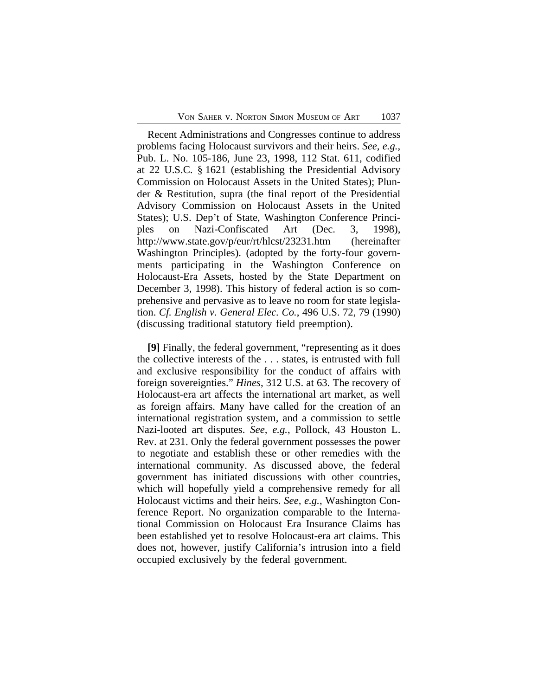Recent Administrations and Congresses continue to address problems facing Holocaust survivors and their heirs. *See, e.g.*, Pub. L. No. 105-186, June 23, 1998, 112 Stat. 611, codified at 22 U.S.C. § 1621 (establishing the Presidential Advisory Commission on Holocaust Assets in the United States); Plunder & Restitution, supra (the final report of the Presidential Advisory Commission on Holocaust Assets in the United States); U.S. Dep't of State, Washington Conference Principles on Nazi-Confiscated Art (Dec. 3, 1998), http://www.state.gov/p/eur/rt/hlcst/23231.htm (hereinafter Washington Principles). (adopted by the forty-four governments participating in the Washington Conference on Holocaust-Era Assets, hosted by the State Department on December 3, 1998). This history of federal action is so comprehensive and pervasive as to leave no room for state legislation. *Cf. English v. General Elec. Co.*, 496 U.S. 72, 79 (1990) (discussing traditional statutory field preemption).

**[9]** Finally, the federal government, "representing as it does the collective interests of the . . . states, is entrusted with full and exclusive responsibility for the conduct of affairs with foreign sovereignties." *Hines*, 312 U.S. at 63. The recovery of Holocaust-era art affects the international art market, as well as foreign affairs. Many have called for the creation of an international registration system, and a commission to settle Nazi-looted art disputes. *See, e.g.*, Pollock, 43 Houston L. Rev. at 231. Only the federal government possesses the power to negotiate and establish these or other remedies with the international community. As discussed above, the federal government has initiated discussions with other countries, which will hopefully yield a comprehensive remedy for all Holocaust victims and their heirs. *See, e.g.*, Washington Conference Report. No organization comparable to the International Commission on Holocaust Era Insurance Claims has been established yet to resolve Holocaust-era art claims. This does not, however, justify California's intrusion into a field occupied exclusively by the federal government.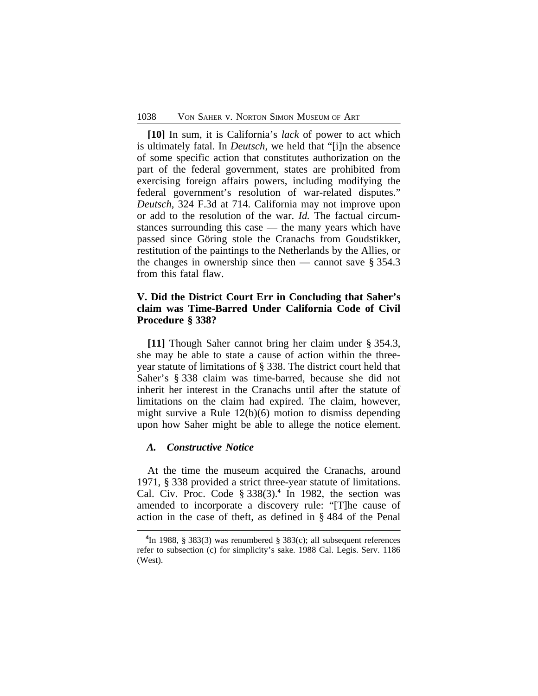**[10]** In sum, it is California's *lack* of power to act which is ultimately fatal. In *Deutsch*, we held that "[i]n the absence of some specific action that constitutes authorization on the part of the federal government, states are prohibited from exercising foreign affairs powers, including modifying the federal government's resolution of war-related disputes." *Deutsch*, 324 F.3d at 714. California may not improve upon or add to the resolution of the war. *Id.* The factual circumstances surrounding this case — the many years which have passed since Göring stole the Cranachs from Goudstikker, restitution of the paintings to the Netherlands by the Allies, or the changes in ownership since then — cannot save  $\S 354.3$ from this fatal flaw.

# **V. Did the District Court Err in Concluding that Saher's claim was Time-Barred Under California Code of Civil Procedure § 338?**

**[11]** Though Saher cannot bring her claim under § 354.3, she may be able to state a cause of action within the threeyear statute of limitations of § 338. The district court held that Saher's § 338 claim was time-barred, because she did not inherit her interest in the Cranachs until after the statute of limitations on the claim had expired. The claim, however, might survive a Rule 12(b)(6) motion to dismiss depending upon how Saher might be able to allege the notice element.

### *A. Constructive Notice*

At the time the museum acquired the Cranachs, around 1971, § 338 provided a strict three-year statute of limitations. Cal. Civ. Proc. Code  $\S 338(3)$ .<sup>4</sup> In 1982, the section was amended to incorporate a discovery rule: "[T]he cause of action in the case of theft, as defined in § 484 of the Penal

**<sup>4</sup>** In 1988, § 383(3) was renumbered § 383(c); all subsequent references refer to subsection (c) for simplicity's sake. 1988 Cal. Legis. Serv. 1186 (West).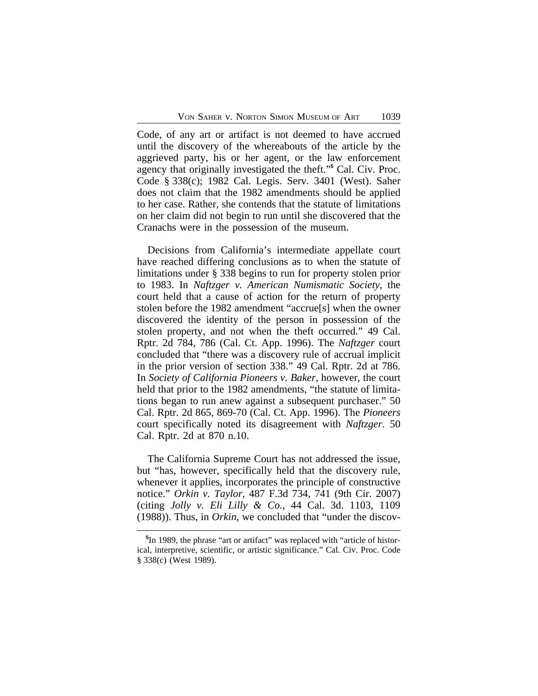Code, of any art or artifact is not deemed to have accrued until the discovery of the whereabouts of the article by the aggrieved party, his or her agent, or the law enforcement agency that originally investigated the theft." **5** Cal. Civ. Proc. Code § 338(c); 1982 Cal. Legis. Serv. 3401 (West). Saher does not claim that the 1982 amendments should be applied to her case. Rather, she contends that the statute of limitations on her claim did not begin to run until she discovered that the Cranachs were in the possession of the museum.

Decisions from California's intermediate appellate court have reached differing conclusions as to when the statute of limitations under § 338 begins to run for property stolen prior to 1983. In *Naftzger v. American Numismatic Society*, the court held that a cause of action for the return of property stolen before the 1982 amendment "accrue[s] when the owner discovered the identity of the person in possession of the stolen property, and not when the theft occurred." 49 Cal. Rptr. 2d 784, 786 (Cal. Ct. App. 1996). The *Naftzger* court concluded that "there was a discovery rule of accrual implicit in the prior version of section 338." 49 Cal. Rptr. 2d at 786. In *Society of California Pioneers v. Baker*, however, the court held that prior to the 1982 amendments, "the statute of limitations began to run anew against a subsequent purchaser." 50 Cal. Rptr. 2d 865, 869-70 (Cal. Ct. App. 1996). The *Pioneers* court specifically noted its disagreement with *Naftzger*. 50 Cal. Rptr. 2d at 870 n.10.

The California Supreme Court has not addressed the issue, but "has, however, specifically held that the discovery rule, whenever it applies, incorporates the principle of constructive notice." *Orkin v. Taylor*, 487 F.3d 734, 741 (9th Cir. 2007) (citing *Jolly v. Eli Lilly & Co.*, 44 Cal. 3d. 1103, 1109 (1988)). Thus, in *Orkin*, we concluded that "under the discov-

**<sup>5</sup>** In 1989, the phrase "art or artifact" was replaced with "article of historical, interpretive, scientific, or artistic significance." Cal. Civ. Proc. Code § 338(c) (West 1989).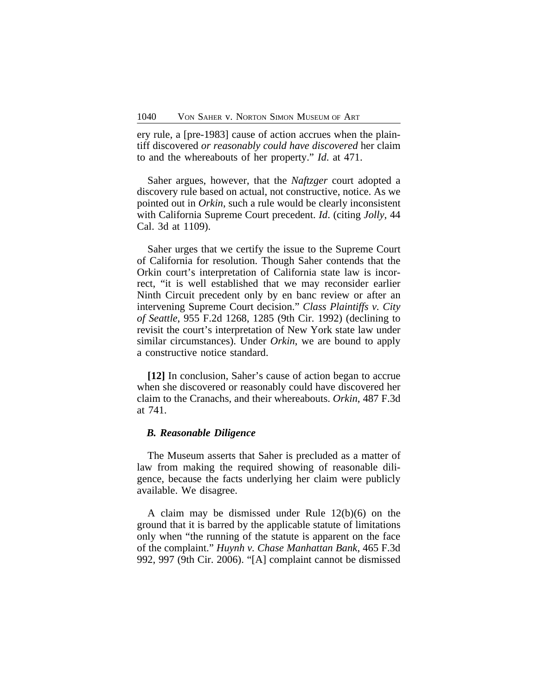ery rule, a [pre-1983] cause of action accrues when the plaintiff discovered *or reasonably could have discovered* her claim to and the whereabouts of her property." *Id*. at 471.

Saher argues, however, that the *Naftzger* court adopted a discovery rule based on actual, not constructive, notice. As we pointed out in *Orkin*, such a rule would be clearly inconsistent with California Supreme Court precedent. *Id*. (citing *Jolly*, 44 Cal. 3d at 1109).

Saher urges that we certify the issue to the Supreme Court of California for resolution. Though Saher contends that the Orkin court's interpretation of California state law is incorrect, "it is well established that we may reconsider earlier Ninth Circuit precedent only by en banc review or after an intervening Supreme Court decision." *Class Plaintiffs v. City of Seattle*, 955 F.2d 1268, 1285 (9th Cir. 1992) (declining to revisit the court's interpretation of New York state law under similar circumstances). Under *Orkin*, we are bound to apply a constructive notice standard.

**[12]** In conclusion, Saher's cause of action began to accrue when she discovered or reasonably could have discovered her claim to the Cranachs, and their whereabouts. *Orkin*, 487 F.3d at 741.

### *B. Reasonable Diligence*

The Museum asserts that Saher is precluded as a matter of law from making the required showing of reasonable diligence, because the facts underlying her claim were publicly available. We disagree.

A claim may be dismissed under Rule 12(b)(6) on the ground that it is barred by the applicable statute of limitations only when "the running of the statute is apparent on the face of the complaint." *Huynh v. Chase Manhattan Bank*, 465 F.3d 992, 997 (9th Cir. 2006). "[A] complaint cannot be dismissed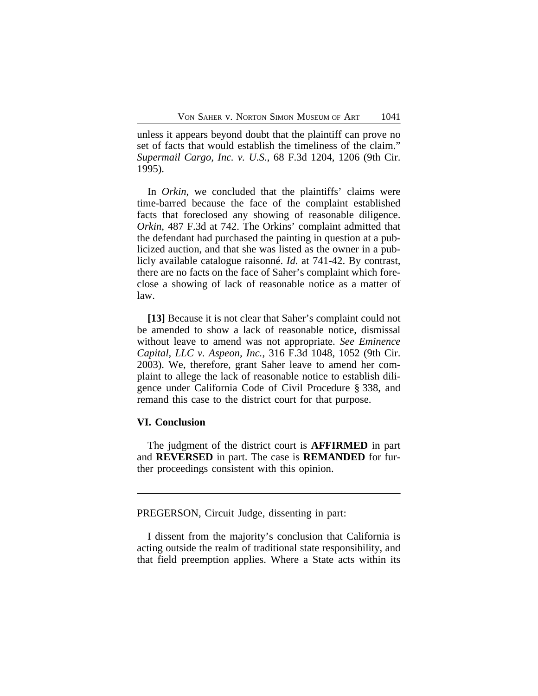unless it appears beyond doubt that the plaintiff can prove no set of facts that would establish the timeliness of the claim." *Supermail Cargo, Inc. v. U.S.*, 68 F.3d 1204, 1206 (9th Cir. 1995).

In *Orkin*, we concluded that the plaintiffs' claims were time-barred because the face of the complaint established facts that foreclosed any showing of reasonable diligence. *Orkin*, 487 F.3d at 742. The Orkins' complaint admitted that the defendant had purchased the painting in question at a publicized auction, and that she was listed as the owner in a publicly available catalogue raisonné. *Id*. at 741-42. By contrast, there are no facts on the face of Saher's complaint which foreclose a showing of lack of reasonable notice as a matter of law.

**[13]** Because it is not clear that Saher's complaint could not be amended to show a lack of reasonable notice, dismissal without leave to amend was not appropriate. *See Eminence Capital, LLC v. Aspeon, Inc.*, 316 F.3d 1048, 1052 (9th Cir. 2003). We, therefore, grant Saher leave to amend her complaint to allege the lack of reasonable notice to establish diligence under California Code of Civil Procedure § 338, and remand this case to the district court for that purpose.

### **VI. Conclusion**

The judgment of the district court is **AFFIRMED** in part and **REVERSED** in part. The case is **REMANDED** for further proceedings consistent with this opinion.

PREGERSON, Circuit Judge, dissenting in part:

I dissent from the majority's conclusion that California is acting outside the realm of traditional state responsibility, and that field preemption applies. Where a State acts within its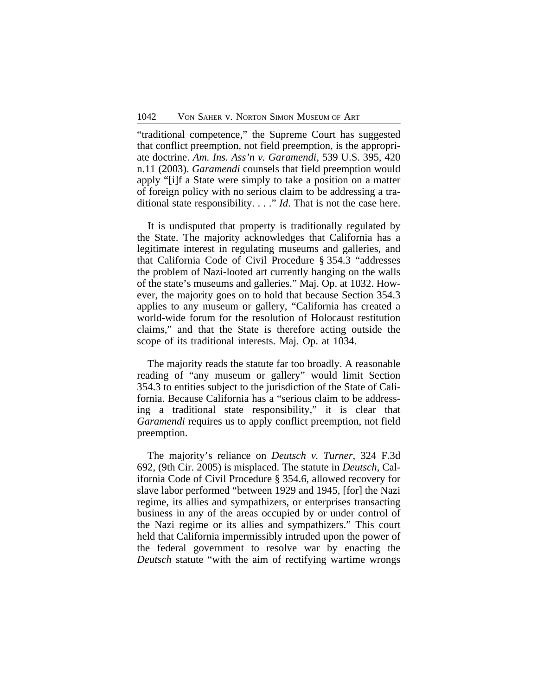"traditional competence," the Supreme Court has suggested that conflict preemption, not field preemption, is the appropriate doctrine. *Am. Ins. Ass'n v. Garamendi,* 539 U.S. 395, 420 n.11 (2003). *Garamendi* counsels that field preemption would apply "[i]f a State were simply to take a position on a matter of foreign policy with no serious claim to be addressing a traditional state responsibility. . . ." *Id*. That is not the case here.

It is undisputed that property is traditionally regulated by the State. The majority acknowledges that California has a legitimate interest in regulating museums and galleries, and that California Code of Civil Procedure § 354.3 "addresses the problem of Nazi-looted art currently hanging on the walls of the state's museums and galleries." Maj. Op. at 1032. However, the majority goes on to hold that because Section 354.3 applies to any museum or gallery, "California has created a world-wide forum for the resolution of Holocaust restitution claims," and that the State is therefore acting outside the scope of its traditional interests. Maj. Op. at 1034.

The majority reads the statute far too broadly. A reasonable reading of "any museum or gallery" would limit Section 354.3 to entities subject to the jurisdiction of the State of California. Because California has a "serious claim to be addressing a traditional state responsibility," it is clear that *Garamendi* requires us to apply conflict preemption, not field preemption.

The majority's reliance on *Deutsch v. Turner*, 324 F.3d 692, (9th Cir. 2005) is misplaced. The statute in *Deutsch*, California Code of Civil Procedure § 354.6, allowed recovery for slave labor performed "between 1929 and 1945, [for] the Nazi regime, its allies and sympathizers, or enterprises transacting business in any of the areas occupied by or under control of the Nazi regime or its allies and sympathizers." This court held that California impermissibly intruded upon the power of the federal government to resolve war by enacting the *Deutsch* statute "with the aim of rectifying wartime wrongs